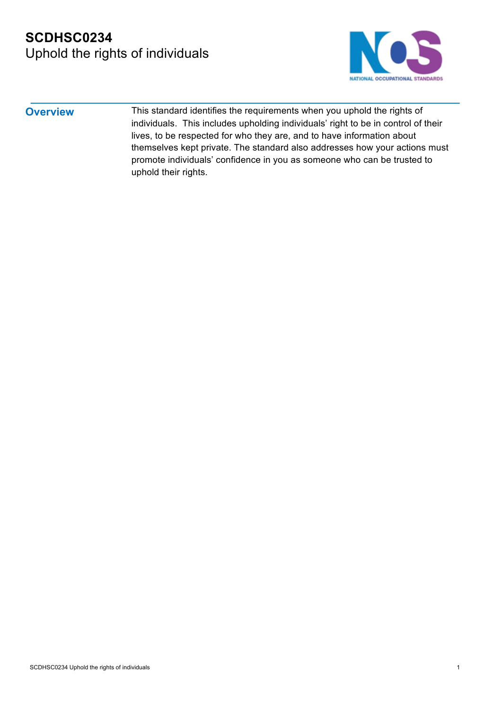

**Overview** This standard identifies the requirements when you uphold the rights of individuals. This includes upholding individuals' right to be in control of their lives, to be respected for who they are, and to have information about themselves kept private. The standard also addresses how your actions must promote individuals' confidence in you as someone who can be trusted to uphold their rights.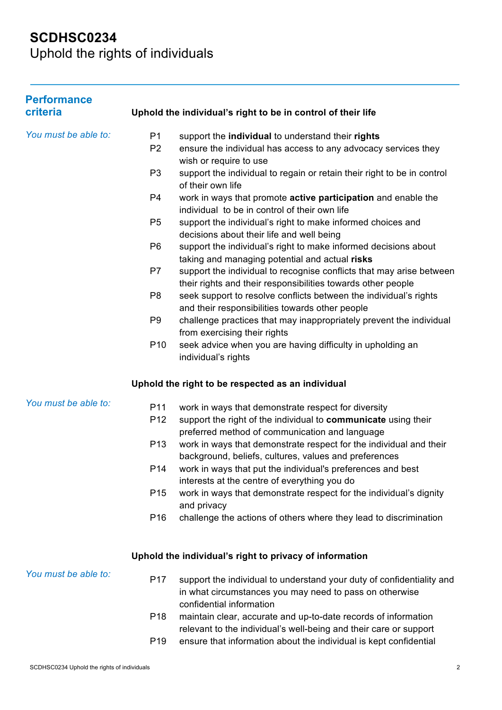Uphold the rights of individuals

| <b>Performance</b><br>criteria              |                 | Uphold the individual's right to be in control of their life                                                                                                 |
|---------------------------------------------|-----------------|--------------------------------------------------------------------------------------------------------------------------------------------------------------|
| You must be able to:                        | P <sub>1</sub>  | support the individual to understand their rights                                                                                                            |
|                                             | P <sub>2</sub>  | ensure the individual has access to any advocacy services they                                                                                               |
|                                             | P <sub>3</sub>  | wish or require to use<br>support the individual to regain or retain their right to be in control                                                            |
|                                             |                 | of their own life                                                                                                                                            |
|                                             | P <sub>4</sub>  | work in ways that promote <b>active participation</b> and enable the<br>individual to be in control of their own life                                        |
|                                             | P <sub>5</sub>  | support the individual's right to make informed choices and<br>decisions about their life and well being                                                     |
|                                             | P <sub>6</sub>  | support the individual's right to make informed decisions about                                                                                              |
|                                             | P7              | taking and managing potential and actual risks<br>support the individual to recognise conflicts that may arise between                                       |
|                                             |                 | their rights and their responsibilities towards other people                                                                                                 |
|                                             | P <sub>8</sub>  | seek support to resolve conflicts between the individual's rights<br>and their responsibilities towards other people                                         |
|                                             | P <sub>9</sub>  | challenge practices that may inappropriately prevent the individual                                                                                          |
|                                             | P <sub>10</sub> | from exercising their rights<br>seek advice when you are having difficulty in upholding an                                                                   |
|                                             |                 | individual's rights                                                                                                                                          |
|                                             |                 | Uphold the right to be respected as an individual                                                                                                            |
| You must be able to:                        | P <sub>11</sub> | work in ways that demonstrate respect for diversity                                                                                                          |
|                                             | P <sub>12</sub> | support the right of the individual to communicate using their<br>preferred method of communication and language                                             |
|                                             | P <sub>13</sub> | work in ways that demonstrate respect for the individual and their                                                                                           |
|                                             | P14             | background, beliefs, cultures, values and preferences<br>work in ways that put the individual's preferences and best                                         |
|                                             |                 | interests at the centre of everything you do                                                                                                                 |
|                                             | P <sub>15</sub> | work in ways that demonstrate respect for the individual's dignity<br>and privacy                                                                            |
|                                             | P <sub>16</sub> | challenge the actions of others where they lead to discrimination                                                                                            |
|                                             |                 | Uphold the individual's right to privacy of information                                                                                                      |
| You must be able to:                        |                 |                                                                                                                                                              |
|                                             | P <sub>17</sub> | support the individual to understand your duty of confidentiality and<br>in what circumstances you may need to pass on otherwise<br>confidential information |
|                                             | P <sub>18</sub> | maintain clear, accurate and up-to-date records of information                                                                                               |
|                                             | P <sub>19</sub> | relevant to the individual's well-being and their care or support<br>ensure that information about the individual is kept confidential                       |
| SCDHSC0234 Uphold the rights of individuals |                 | 2                                                                                                                                                            |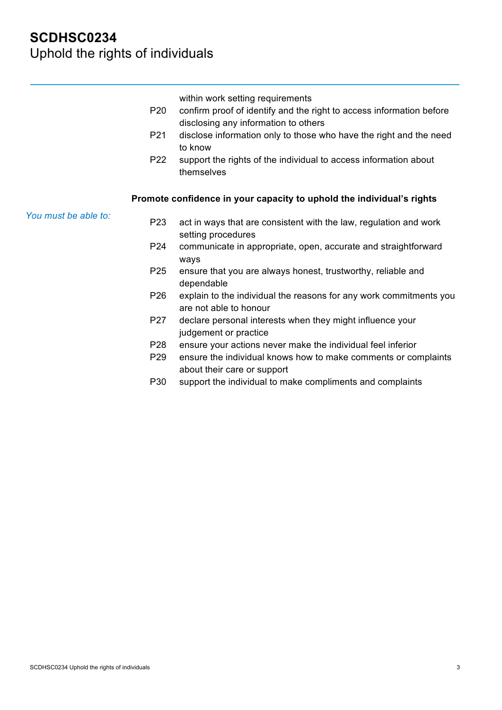| P <sub>20</sub><br>P21<br>P <sub>22</sub> | within work setting requirements<br>confirm proof of identify and the right to access information before<br>disclosing any information to others<br>disclose information only to those who have the right and the need<br>to know<br>support the rights of the individual to access information about<br>themselves |
|-------------------------------------------|---------------------------------------------------------------------------------------------------------------------------------------------------------------------------------------------------------------------------------------------------------------------------------------------------------------------|
|                                           | Promote confidence in your capacity to uphold the individual's rights                                                                                                                                                                                                                                               |
| You must be able to:<br>P <sub>23</sub>   | act in ways that are consistent with the law, regulation and work<br>setting procedures                                                                                                                                                                                                                             |
| P <sub>24</sub>                           | communicate in appropriate, open, accurate and straightforward<br>ways                                                                                                                                                                                                                                              |
| P <sub>25</sub>                           | ensure that you are always honest, trustworthy, reliable and<br>dependable                                                                                                                                                                                                                                          |
| P <sub>26</sub>                           | explain to the individual the reasons for any work commitments you<br>are not able to honour                                                                                                                                                                                                                        |
| P27                                       | declare personal interests when they might influence your<br>judgement or practice                                                                                                                                                                                                                                  |
| P28                                       | ensure your actions never make the individual feel inferior                                                                                                                                                                                                                                                         |
| P <sub>29</sub>                           | ensure the individual knows how to make comments or complaints<br>about their care or support                                                                                                                                                                                                                       |
| P30                                       | support the individual to make compliments and complaints                                                                                                                                                                                                                                                           |
|                                           |                                                                                                                                                                                                                                                                                                                     |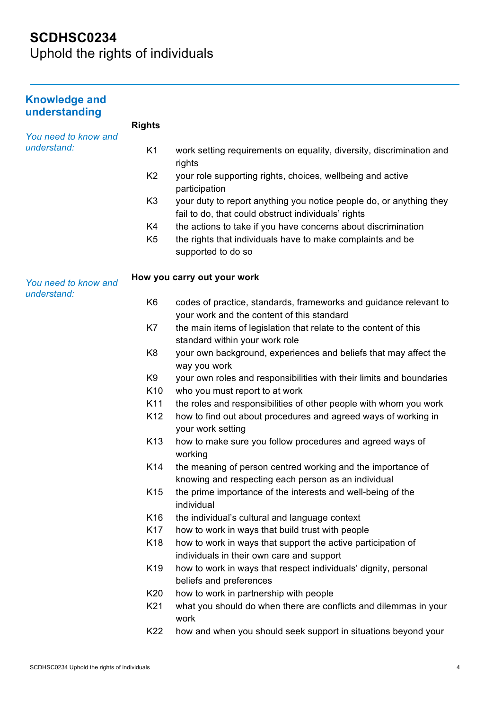Uphold the rights of individuals

| <b>Knowledge and</b><br>understanding |                 |                                                                                                                            |
|---------------------------------------|-----------------|----------------------------------------------------------------------------------------------------------------------------|
|                                       | <b>Rights</b>   |                                                                                                                            |
| You need to know and<br>understand:   | K <sub>1</sub>  | work setting requirements on equality, diversity, discrimination and<br>rights                                             |
|                                       | K <sub>2</sub>  | your role supporting rights, choices, wellbeing and active<br>participation                                                |
|                                       | K <sub>3</sub>  | your duty to report anything you notice people do, or anything they<br>fail to do, that could obstruct individuals' rights |
|                                       | K4              | the actions to take if you have concerns about discrimination                                                              |
|                                       | K <sub>5</sub>  | the rights that individuals have to make complaints and be<br>supported to do so                                           |
| You need to know and<br>understand:   |                 | How you carry out your work                                                                                                |
|                                       | K <sub>6</sub>  | codes of practice, standards, frameworks and guidance relevant to<br>your work and the content of this standard            |
|                                       | K7              | the main items of legislation that relate to the content of this<br>standard within your work role                         |
|                                       | K <sub>8</sub>  | your own background, experiences and beliefs that may affect the<br>way you work                                           |
|                                       | K9              | your own roles and responsibilities with their limits and boundaries                                                       |
|                                       | K <sub>10</sub> | who you must report to at work                                                                                             |
|                                       | K11             | the roles and responsibilities of other people with whom you work                                                          |
|                                       | K <sub>12</sub> | how to find out about procedures and agreed ways of working in<br>your work setting                                        |
|                                       | K <sub>13</sub> | how to make sure you follow procedures and agreed ways of<br>working                                                       |
|                                       | K14             | the meaning of person centred working and the importance of<br>knowing and respecting each person as an individual         |
|                                       | K <sub>15</sub> | the prime importance of the interests and well-being of the<br>individual                                                  |
|                                       | K16             | the individual's cultural and language context                                                                             |
|                                       | K <sub>17</sub> | how to work in ways that build trust with people                                                                           |
|                                       | K18             | how to work in ways that support the active participation of<br>individuals in their own care and support                  |
|                                       | K19             | how to work in ways that respect individuals' dignity, personal<br>beliefs and preferences                                 |
|                                       | K20             | how to work in partnership with people                                                                                     |
|                                       | K21             | what you should do when there are conflicts and dilemmas in your<br>work                                                   |
|                                       | K22             | how and when you should seek support in situations beyond your                                                             |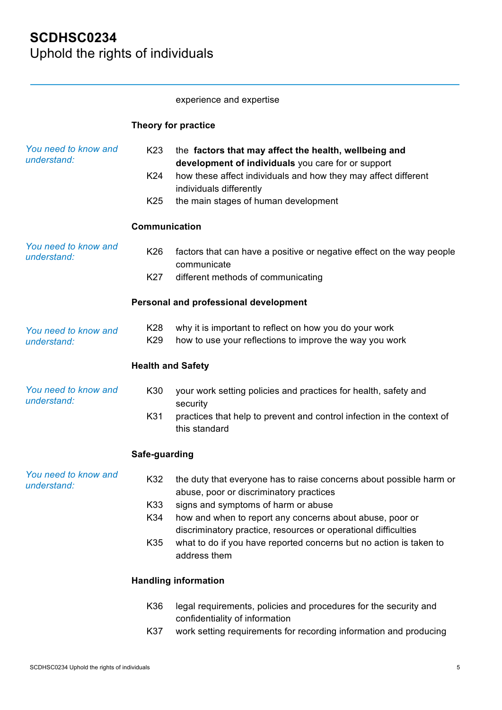#### experience and expertise

### **Theory for practice**

| You need to know and<br>understand: | K <sub>23</sub><br>K24<br>K <sub>25</sub> | the factors that may affect the health, wellbeing and<br>development of individuals you care for or support<br>how these affect individuals and how they may affect different<br>individuals differently<br>the main stages of human development |
|-------------------------------------|-------------------------------------------|--------------------------------------------------------------------------------------------------------------------------------------------------------------------------------------------------------------------------------------------------|
|                                     | <b>Communication</b>                      |                                                                                                                                                                                                                                                  |
| You need to know and<br>understand: | K26                                       | factors that can have a positive or negative effect on the way people<br>communicate                                                                                                                                                             |
|                                     | K27                                       | different methods of communicating                                                                                                                                                                                                               |
|                                     |                                           | Personal and professional development                                                                                                                                                                                                            |
| You need to know and<br>understand: | K28<br>K29                                | why it is important to reflect on how you do your work<br>how to use your reflections to improve the way you work                                                                                                                                |
|                                     | <b>Health and Safety</b>                  |                                                                                                                                                                                                                                                  |
| You need to know and<br>understand: | K30                                       | your work setting policies and practices for health, safety and<br>security                                                                                                                                                                      |
|                                     | K31                                       | practices that help to prevent and control infection in the context of<br>this standard                                                                                                                                                          |
|                                     | Safe-guarding                             |                                                                                                                                                                                                                                                  |
| You need to know and<br>understand: | K32<br>K33                                | the duty that everyone has to raise concerns about possible harm or<br>abuse, poor or discriminatory practices<br>signs and symptoms of harm or abuse                                                                                            |
|                                     | K34                                       | how and when to report any concerns about abuse, poor or<br>discriminatory practice, resources or operational difficulties                                                                                                                       |
|                                     | K35                                       | what to do if you have reported concerns but no action is taken to<br>address them                                                                                                                                                               |
|                                     |                                           | <b>Handling information</b>                                                                                                                                                                                                                      |
|                                     | K36                                       | legal requirements, policies and procedures for the security and<br>confidentiality of information                                                                                                                                               |
|                                     | K37                                       | work setting requirements for recording information and producing                                                                                                                                                                                |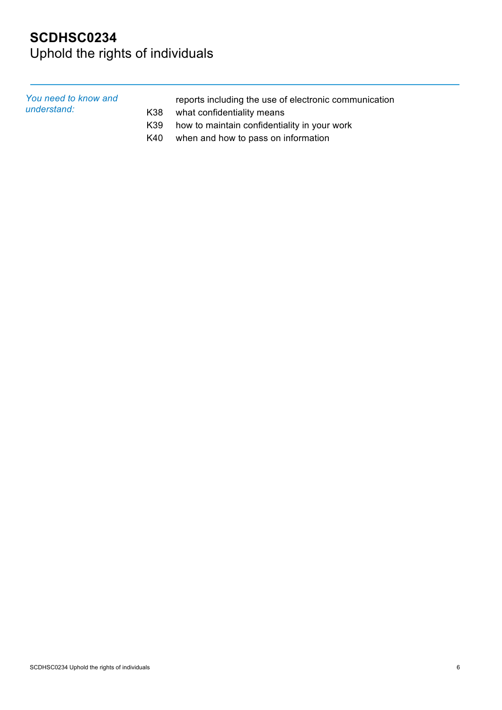# **SCDHSC0234**  Uphold the rights of individuals

| You need to know and<br>understand: |     | reports including the use of electronic communication |
|-------------------------------------|-----|-------------------------------------------------------|
|                                     | K38 | what confidentiality means                            |
|                                     | K39 | how to maintain confidentiality in your work          |
|                                     | K40 | when and how to pass on information                   |

SCDHSC0234 Uphold the rights of individuals 6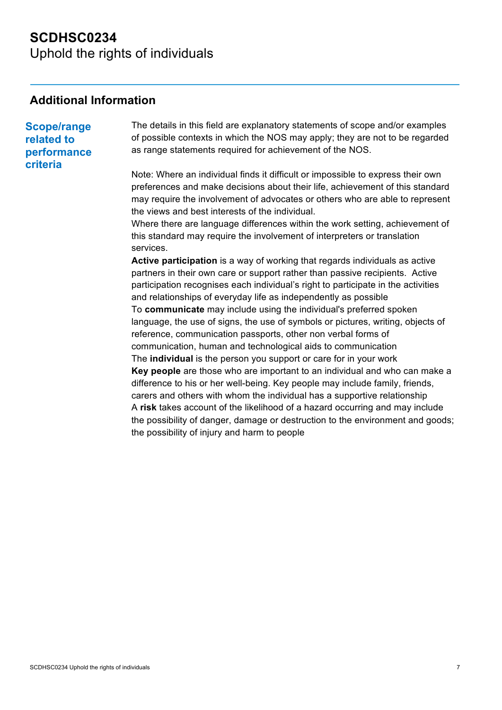## **SCDHSC0234**  Uphold the rights of individuals

### **Additional Information**

**Scope/range related to performance criteria** The details in this field are explanatory statements of scope and/or examples of possible contexts in which the NOS may apply; they are not to be regarded as range statements required for achievement of the NOS. Note: Where an individual finds it difficult or impossible to express their own preferences and make decisions about their life, achievement of this standard may require the involvement of advocates or others who are able to represent the views and best interests of the individual. Where there are language differences within the work setting, achievement of this standard may require the involvement of interpreters or translation services. **Active participation** is a way of working that regards individuals as active partners in their own care or support rather than passive recipients. Active participation recognises each individual's right to participate in the activities and relationships of everyday life as independently as possible To **communicate** may include using the individual's preferred spoken language, the use of signs, the use of symbols or pictures, writing, objects of reference, communication passports, other non verbal forms of communication, human and technological aids to communication The **individual** is the person you support or care for in your work **Key people** are those who are important to an individual and who can make a

difference to his or her well-being. Key people may include family, friends, carers and others with whom the individual has a supportive relationship A **risk** takes account of the likelihood of a hazard occurring and may include the possibility of danger, damage or destruction to the environment and goods; the possibility of injury and harm to people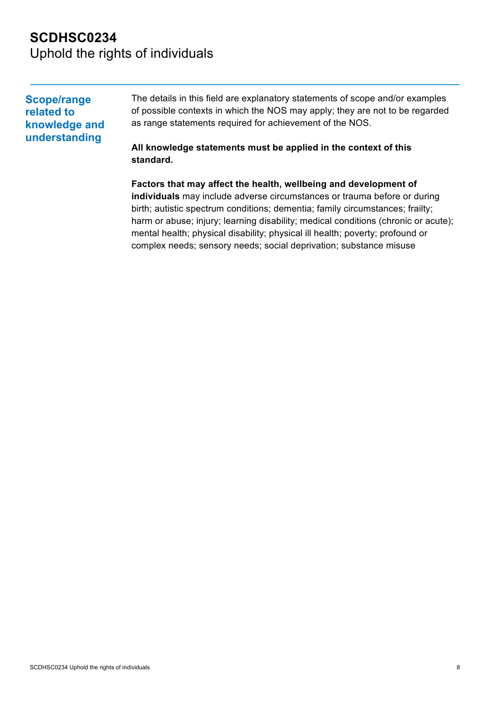## **SCDHSC0234**  Uphold the rights of individuals

**standard.**

| <b>Scope/range</b><br>related to<br>knowledge and<br>understanding | The details in this field are explanatory statements of scope and/or examples<br>of possible contexts in which the NOS may apply; they are not to be regarded<br>as range statements required for achievement of the NOS. |
|--------------------------------------------------------------------|---------------------------------------------------------------------------------------------------------------------------------------------------------------------------------------------------------------------------|
|                                                                    | All knowledge statements must be applied in the context of this                                                                                                                                                           |

**Factors that may affect the health, wellbeing and development of individuals** may include adverse circumstances or trauma before or during birth; autistic spectrum conditions; dementia; family circumstances; frailty; harm or abuse; injury; learning disability; medical conditions (chronic or acute); mental health; physical disability; physical ill health; poverty; profound or complex needs; sensory needs; social deprivation; substance misuse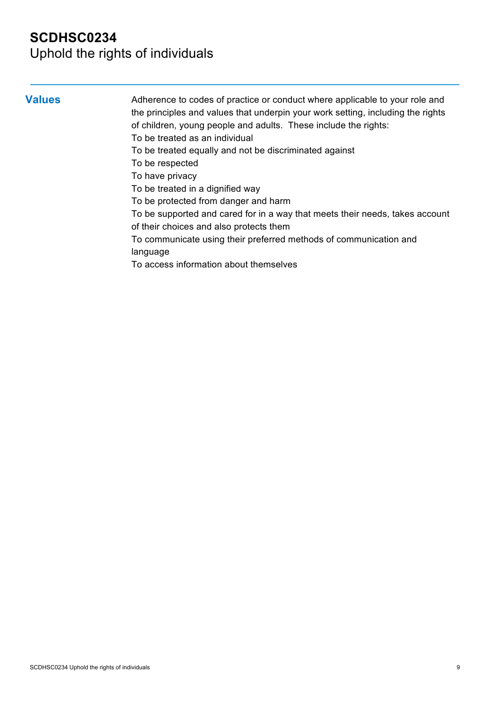## Uphold the rights of individuals

**Values** Adherence to codes of practice or conduct where applicable to your role and the principles and values that underpin your work setting, including the rights of children, young people and adults. These include the rights:

- To be treated as an individual
- To be treated equally and not be discriminated against
- To be respected

To have privacy

- To be treated in a dignified way
- To be protected from danger and harm
- To be supported and cared for in a way that meets their needs, takes account of their choices and also protects them
- To communicate using their preferred methods of communication and language
- To access information about themselves